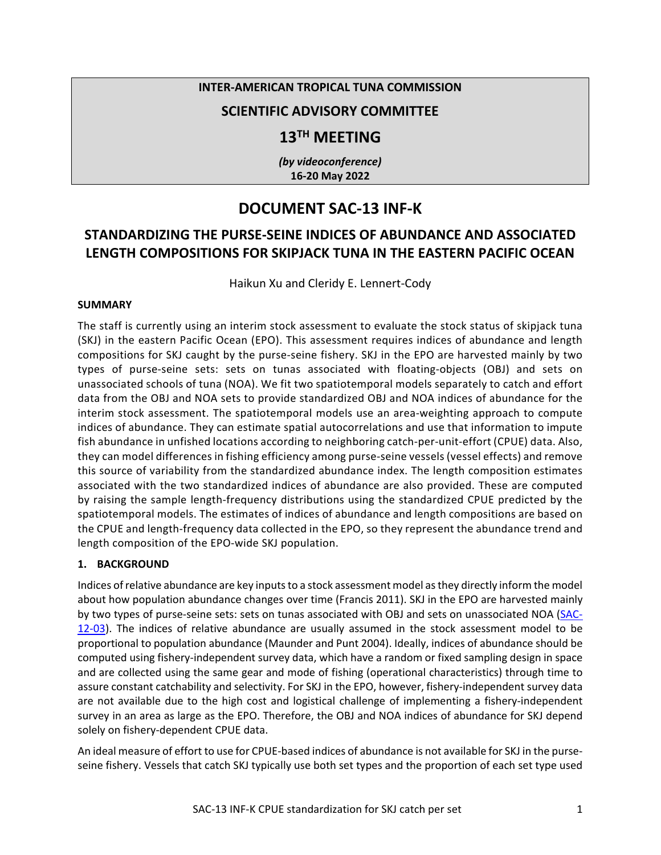## **INTER-AMERICAN TROPICAL TUNA COMMISSION**

## **SCIENTIFIC ADVISORY COMMITTEE**

# **13TH MEETING**

*(by videoconference)* **16-20 May 2022**

# **DOCUMENT SAC-13 INF-K**

## **STANDARDIZING THE PURSE-SEINE INDICES OF ABUNDANCE AND ASSOCIATED LENGTH COMPOSITIONS FOR SKIPJACK TUNA IN THE EASTERN PACIFIC OCEAN**

Haikun Xu and Cleridy E. Lennert-Cody

#### **SUMMARY**

The staff is currently using an interim stock assessment to evaluate the stock status of skipjack tuna (SKJ) in the eastern Pacific Ocean (EPO). This assessment requires indices of abundance and length compositions for SKJ caught by the purse-seine fishery. SKJ in the EPO are harvested mainly by two types of purse-seine sets: sets on tunas associated with floating-objects (OBJ) and sets on unassociated schools of tuna (NOA). We fit two spatiotemporal models separately to catch and effort data from the OBJ and NOA sets to provide standardized OBJ and NOA indices of abundance for the interim stock assessment. The spatiotemporal models use an area-weighting approach to compute indices of abundance. They can estimate spatial autocorrelations and use that information to impute fish abundance in unfished locations according to neighboring catch-per-unit-effort (CPUE) data. Also, they can model differences in fishing efficiency among purse-seine vessels (vessel effects) and remove this source of variability from the standardized abundance index. The length composition estimates associated with the two standardized indices of abundance are also provided. These are computed by raising the sample length-frequency distributions using the standardized CPUE predicted by the spatiotemporal models. The estimates of indices of abundance and length compositions are based on the CPUE and length-frequency data collected in the EPO, so they represent the abundance trend and length composition of the EPO-wide SKJ population.

### **1. BACKGROUND**

Indices of relative abundance are key inputs to a stock assessment model as they directly inform the model about how population abundance changes over time (Francis 2011). SKJ in the EPO are harvested mainly by two types of purse-seine sets: sets on tunas associated with OBJ and sets on unassociated NOA [\(SAC-](https://www.iattc.org/Meetings/Meetings2021/SAC-12/Docs/_English/SAC-12-03_The%20tuna%20fishery%20in%20the%20Eastern%20Pacific%20Ocean%20in%202020.pdf)[12-03\)](https://www.iattc.org/Meetings/Meetings2021/SAC-12/Docs/_English/SAC-12-03_The%20tuna%20fishery%20in%20the%20Eastern%20Pacific%20Ocean%20in%202020.pdf). The indices of relative abundance are usually assumed in the stock assessment model to be proportional to population abundance (Maunder and Punt 2004). Ideally, indices of abundance should be computed using fishery-independent survey data, which have a random or fixed sampling design in space and are collected using the same gear and mode of fishing (operational characteristics) through time to assure constant catchability and selectivity. For SKJ in the EPO, however, fishery-independent survey data are not available due to the high cost and logistical challenge of implementing a fishery-independent survey in an area as large as the EPO. Therefore, the OBJ and NOA indices of abundance for SKJ depend solely on fishery-dependent CPUE data.

An ideal measure of effort to use for CPUE-based indices of abundance is not available for SKJ in the purseseine fishery. Vessels that catch SKJ typically use both set types and the proportion of each set type used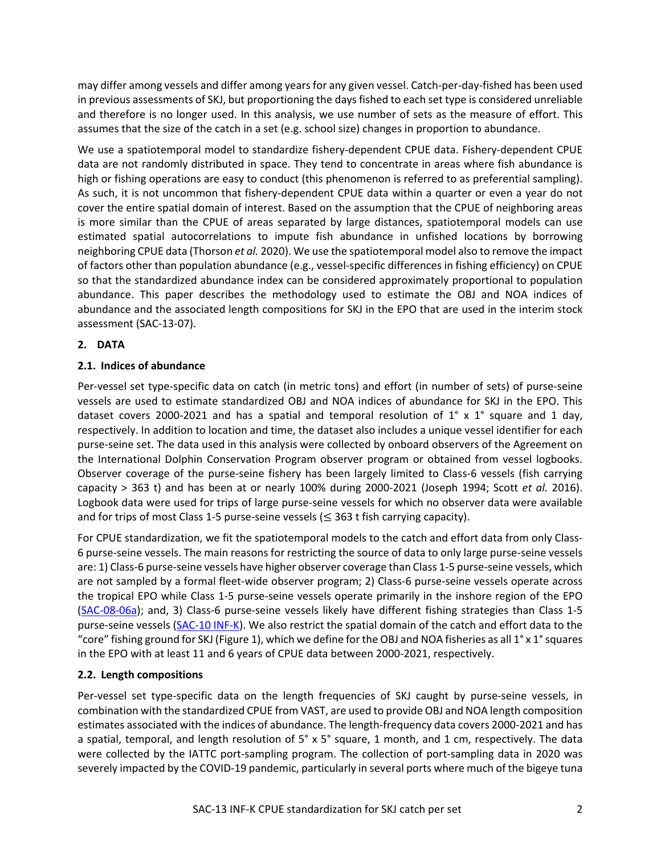may differ among vessels and differ among years for any given vessel. Catch-per-day-fished has been used in previous assessments of SKJ, but proportioning the days fished to each set type is considered unreliable and therefore is no longer used. In this analysis, we use number of sets as the measure of effort. This assumes that the size of the catch in a set (e.g. school size) changes in proportion to abundance.

We use a spatiotemporal model to standardize fishery-dependent CPUE data. Fishery-dependent CPUE data are not randomly distributed in space. They tend to concentrate in areas where fish abundance is high or fishing operations are easy to conduct (this phenomenon is referred to as preferential sampling). As such, it is not uncommon that fishery-dependent CPUE data within a quarter or even a year do not cover the entire spatial domain of interest. Based on the assumption that the CPUE of neighboring areas is more similar than the CPUE of areas separated by large distances, spatiotemporal models can use estimated spatial autocorrelations to impute fish abundance in unfished locations by borrowing neighboring CPUE data (Thorson *et al.* 2020). We use the spatiotemporal model also to remove the impact of factors other than population abundance (e.g., vessel-specific differences in fishing efficiency) on CPUE so that the standardized abundance index can be considered approximately proportional to population abundance. This paper describes the methodology used to estimate the OBJ and NOA indices of abundance and the associated length compositions for SKJ in the EPO that are used in the interim stock assessment (SAC-13-07).

## **2. DATA**

## **2.1. Indices of abundance**

Per-vessel set type-specific data on catch (in metric tons) and effort (in number of sets) of purse-seine vessels are used to estimate standardized OBJ and NOA indices of abundance for SKJ in the EPO. This dataset covers 2000-2021 and has a spatial and temporal resolution of  $1^\circ \times 1^\circ$  square and 1 day, respectively. In addition to location and time, the dataset also includes a unique vessel identifier for each purse-seine set. The data used in this analysis were collected by onboard observers of the Agreement on the International Dolphin Conservation Program observer program or obtained from vessel logbooks. Observer coverage of the purse-seine fishery has been largely limited to Class-6 vessels (fish carrying capacity > 363 t) and has been at or nearly 100% during 2000-2021 (Joseph 1994; Scott *et al.* 2016). Logbook data were used for trips of large purse-seine vessels for which no observer data were available and for trips of most Class 1-5 purse-seine vessels ( $\leq$  363 t fish carrying capacity).

For CPUE standardization, we fit the spatiotemporal models to the catch and effort data from only Class-6 purse-seine vessels. The main reasons for restricting the source of data to only large purse-seine vessels are: 1) Class-6 purse-seine vessels have higher observer coverage than Class 1-5 purse-seine vessels, which are not sampled by a formal fleet-wide observer program; 2) Class-6 purse-seine vessels operate across the tropical EPO while Class 1-5 purse-seine vessels operate primarily in the inshore region of the EPO [\(SAC-08-06a\)](https://www.iattc.org/Meetings/Meetings2017/SAC-08/PDFs/Docs/_English/SAC-08-06a_A-review-of-fishery-data-available-for-small-purse-seine-vessels-with-emphasis-on-FADs.pdf); and, 3) Class-6 purse-seine vessels likely have different fishing strategies than Class 1-5 purse-seine vessels [\(SAC-10 INF-K\)](https://www.iattc.org/Meetings/Meetings2019/SAC-10/INF/_English/SAC-10-INF-K-REV-09-May-19_Analysis%20of%20increase%20in%20floating-object%20sets.pdf). We also restrict the spatial domain of the catch and effort data to the "core" fishing ground for SKJ (Figure 1), which we define for the OBJ and NOA fisheries as all 1° x 1° squares in the EPO with at least 11 and 6 years of CPUE data between 2000-2021, respectively.

### **2.2. Length compositions**

Per-vessel set type-specific data on the length frequencies of SKJ caught by purse-seine vessels, in combination with the standardized CPUE from VAST, are used to provide OBJ and NOA length composition estimates associated with the indices of abundance. The length-frequency data covers 2000-2021 and has a spatial, temporal, and length resolution of 5° x 5° square, 1 month, and 1 cm, respectively. The data were collected by the IATTC port-sampling program. The collection of port-sampling data in 2020 was severely impacted by the COVID-19 pandemic, particularly in several ports where much of the bigeye tuna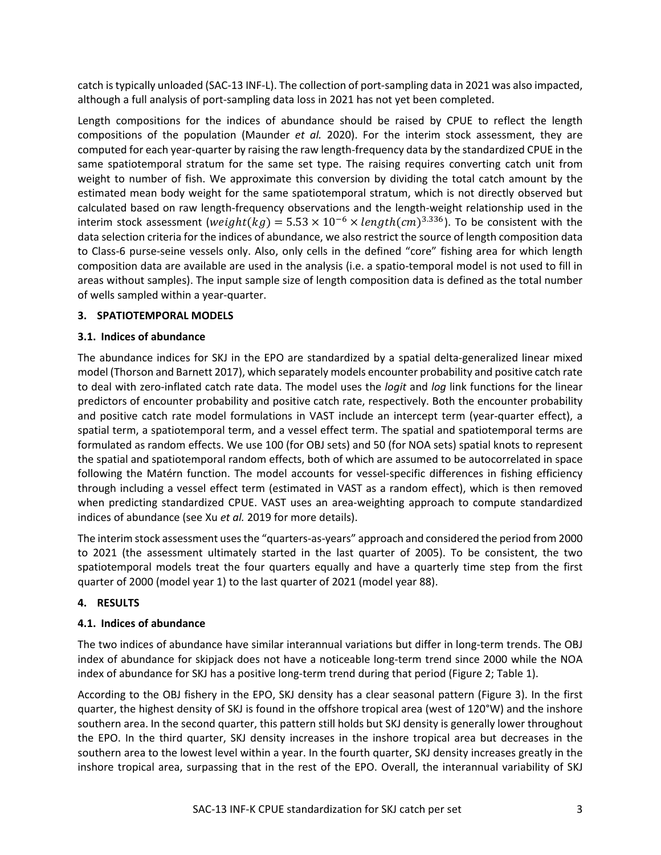catch is typically unloaded (SAC-13 INF-L). The collection of port-sampling data in 2021 was also impacted, although a full analysis of port-sampling data loss in 2021 has not yet been completed.

Length compositions for the indices of abundance should be raised by CPUE to reflect the length compositions of the population (Maunder *et al.* 2020). For the interim stock assessment, they are computed for each year-quarter by raising the raw length-frequency data by the standardized CPUE in the same spatiotemporal stratum for the same set type. The raising requires converting catch unit from weight to number of fish. We approximate this conversion by dividing the total catch amount by the estimated mean body weight for the same spatiotemporal stratum, which is not directly observed but calculated based on raw length-frequency observations and the length-weight relationship used in the interim stock assessment (weight( $kq$ ) = 5.53 × 10<sup>-6</sup> × length( $cm$ )<sup>3.336</sup>). To be consistent with the data selection criteria for the indices of abundance, we also restrict the source of length composition data to Class-6 purse-seine vessels only. Also, only cells in the defined "core" fishing area for which length composition data are available are used in the analysis (i.e. a spatio-temporal model is not used to fill in areas without samples). The input sample size of length composition data is defined as the total number of wells sampled within a year-quarter.

### **3. SPATIOTEMPORAL MODELS**

#### **3.1. Indices of abundance**

The abundance indices for SKJ in the EPO are standardized by a spatial delta-generalized linear mixed model (Thorson and Barnett 2017), which separately models encounter probability and positive catch rate to deal with zero-inflated catch rate data. The model uses the *logit* and *log* link functions for the linear predictors of encounter probability and positive catch rate, respectively. Both the encounter probability and positive catch rate model formulations in VAST include an intercept term (year-quarter effect), a spatial term, a spatiotemporal term, and a vessel effect term. The spatial and spatiotemporal terms are formulated as random effects. We use 100 (for OBJ sets) and 50 (for NOA sets) spatial knots to represent the spatial and spatiotemporal random effects, both of which are assumed to be autocorrelated in space following the Matérn function. The model accounts for vessel-specific differences in fishing efficiency through including a vessel effect term (estimated in VAST as a random effect), which is then removed when predicting standardized CPUE. VAST uses an area-weighting approach to compute standardized indices of abundance (see Xu *et al.* 2019 for more details).

The interim stock assessment uses the "quarters-as-years" approach and considered the period from 2000 to 2021 (the assessment ultimately started in the last quarter of 2005). To be consistent, the two spatiotemporal models treat the four quarters equally and have a quarterly time step from the first quarter of 2000 (model year 1) to the last quarter of 2021 (model year 88).

### **4. RESULTS**

### **4.1. Indices of abundance**

The two indices of abundance have similar interannual variations but differ in long-term trends. The OBJ index of abundance for skipjack does not have a noticeable long-term trend since 2000 while the NOA index of abundance for SKJ has a positive long-term trend during that period (Figure 2; Table 1).

According to the OBJ fishery in the EPO, SKJ density has a clear seasonal pattern (Figure 3). In the first quarter, the highest density of SKJ is found in the offshore tropical area (west of 120°W) and the inshore southern area. In the second quarter, this pattern still holds but SKJ density is generally lower throughout the EPO. In the third quarter, SKJ density increases in the inshore tropical area but decreases in the southern area to the lowest level within a year. In the fourth quarter, SKJ density increases greatly in the inshore tropical area, surpassing that in the rest of the EPO. Overall, the interannual variability of SKJ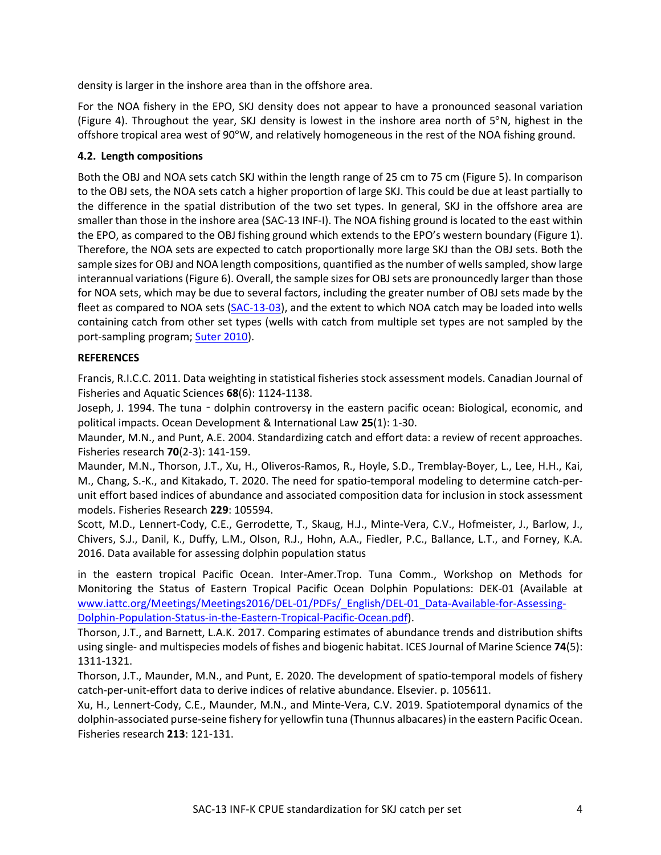density is larger in the inshore area than in the offshore area.

For the NOA fishery in the EPO, SKJ density does not appear to have a pronounced seasonal variation (Figure 4). Throughout the year, SKJ density is lowest in the inshore area north of 5°N, highest in the offshore tropical area west of 90°W, and relatively homogeneous in the rest of the NOA fishing ground.

## **4.2. Length compositions**

Both the OBJ and NOA sets catch SKJ within the length range of 25 cm to 75 cm (Figure 5). In comparison to the OBJ sets, the NOA sets catch a higher proportion of large SKJ. This could be due at least partially to the difference in the spatial distribution of the two set types. In general, SKJ in the offshore area are smaller than those in the inshore area (SAC-13 INF-I). The NOA fishing ground is located to the east within the EPO, as compared to the OBJ fishing ground which extends to the EPO's western boundary (Figure 1). Therefore, the NOA sets are expected to catch proportionally more large SKJ than the OBJ sets. Both the sample sizes for OBJ and NOA length compositions, quantified as the number of wells sampled, show large interannual variations(Figure 6). Overall, the sample sizesfor OBJ sets are pronouncedly larger than those for NOA sets, which may be due to several factors, including the greater number of OBJ sets made by the fleet as compared to NOA sets [\(SAC-13-03\)](https://www.iattc.org/Meetings/Meetings2022/SAC-13/_English/SAC-13-03_The%20tuna%20fishery%20in%20the%20Eastern%20Pacific%20Ocean%20in%202021.pdf), and the extent to which NOA catch may be loaded into wells containing catch from other set types (wells with catch from multiple set types are not sampled by the port-sampling program; [Suter 2010\)](https://www.iattc.org/PDFFiles/SpecialReports/_English/No-18-2010-SUTER,%20JENNY%20M_An%20evaluation%20of%20the%20area%20stratification%20used%20for%20sampling%20tunas%20in%20the%20eastern%20Pacific%20Ocean%20and%20implications%20for%20estimating%20total%20annual%20catches.pdf).

## **REFERENCES**

Francis, R.I.C.C. 2011. Data weighting in statistical fisheries stock assessment models. Canadian Journal of Fisheries and Aquatic Sciences **68**(6): 1124-1138.

Joseph, J. 1994. The tuna - dolphin controversy in the eastern pacific ocean: Biological, economic, and political impacts. Ocean Development & International Law **25**(1): 1-30.

Maunder, M.N., and Punt, A.E. 2004. Standardizing catch and effort data: a review of recent approaches. Fisheries research **70**(2-3): 141-159.

Maunder, M.N., Thorson, J.T., Xu, H., Oliveros-Ramos, R., Hoyle, S.D., Tremblay-Boyer, L., Lee, H.H., Kai, M., Chang, S.-K., and Kitakado, T. 2020. The need for spatio-temporal modeling to determine catch-perunit effort based indices of abundance and associated composition data for inclusion in stock assessment models. Fisheries Research **229**: 105594.

Scott, M.D., Lennert-Cody, C.E., Gerrodette, T., Skaug, H.J., Minte-Vera, C.V., Hofmeister, J., Barlow, J., Chivers, S.J., Danil, K., Duffy, L.M., Olson, R.J., Hohn, A.A., Fiedler, P.C., Ballance, L.T., and Forney, K.A. 2016. Data available for assessing dolphin population status

in the eastern tropical Pacific Ocean. Inter-Amer.Trop. Tuna Comm., Workshop on Methods for Monitoring the Status of Eastern Tropical Pacific Ocean Dolphin Populations: DEK-01 (Available at [www.iattc.org/Meetings/Meetings2016/DEL-01/PDFs/\\_English/DEL-01\\_Data-Available-for-Assessing-](https://iattc.sharepoint.com/MEETINGS/2022/IATTC%20meetings/SAC%2013/www.iattc.org/Meetings/Meetings2016/DEL-01/PDFs/_English/DEL-01_Data-Available-for-Assessing-Dolphin-Population-Status-in-the-Eastern-Tropical-Pacific-Ocean.pdf)[Dolphin-Population-Status-in-the-Eastern-Tropical-Pacific-Ocean.pdf\)](https://iattc.sharepoint.com/MEETINGS/2022/IATTC%20meetings/SAC%2013/www.iattc.org/Meetings/Meetings2016/DEL-01/PDFs/_English/DEL-01_Data-Available-for-Assessing-Dolphin-Population-Status-in-the-Eastern-Tropical-Pacific-Ocean.pdf).

Thorson, J.T., and Barnett, L.A.K. 2017. Comparing estimates of abundance trends and distribution shifts using single- and multispecies models of fishes and biogenic habitat. ICES Journal of Marine Science **74**(5): 1311-1321.

Thorson, J.T., Maunder, M.N., and Punt, E. 2020. The development of spatio-temporal models of fishery catch-per-unit-effort data to derive indices of relative abundance. Elsevier. p. 105611.

Xu, H., Lennert-Cody, C.E., Maunder, M.N., and Minte-Vera, C.V. 2019. Spatiotemporal dynamics of the dolphin-associated purse-seine fishery for yellowfin tuna (Thunnus albacares) in the eastern Pacific Ocean. Fisheries research **213**: 121-131.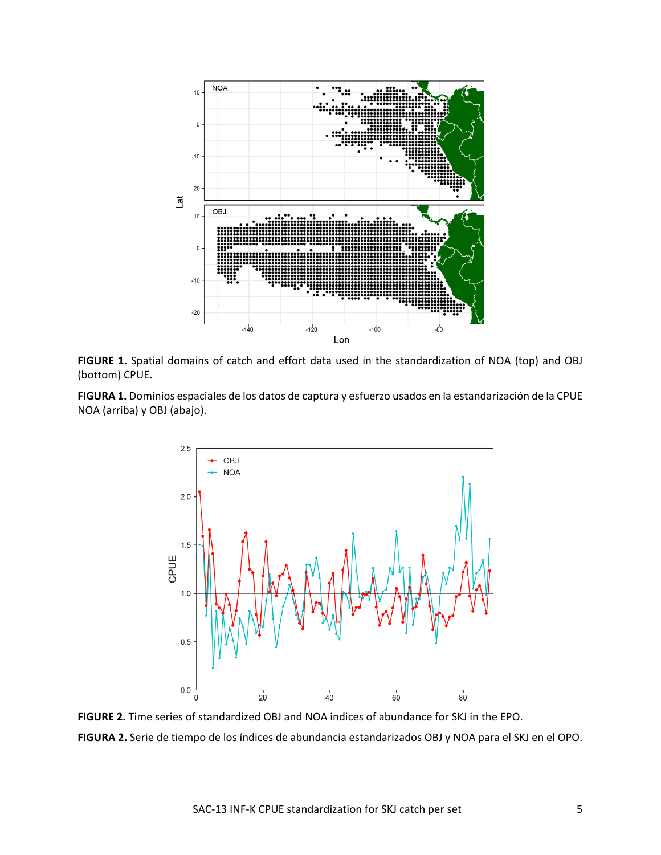

**FIGURE 1.** Spatial domains of catch and effort data used in the standardization of NOA (top) and OBJ (bottom) CPUE.

**FIGURA 1.** Dominios espaciales de los datos de captura y esfuerzo usados en la estandarización de la CPUE NOA (arriba) y OBJ (abajo).



**FIGURE 2.** Time series of standardized OBJ and NOA indices of abundance for SKJ in the EPO. **FIGURA 2.** Serie de tiempo de los índices de abundancia estandarizados OBJ y NOA para el SKJ en el OPO.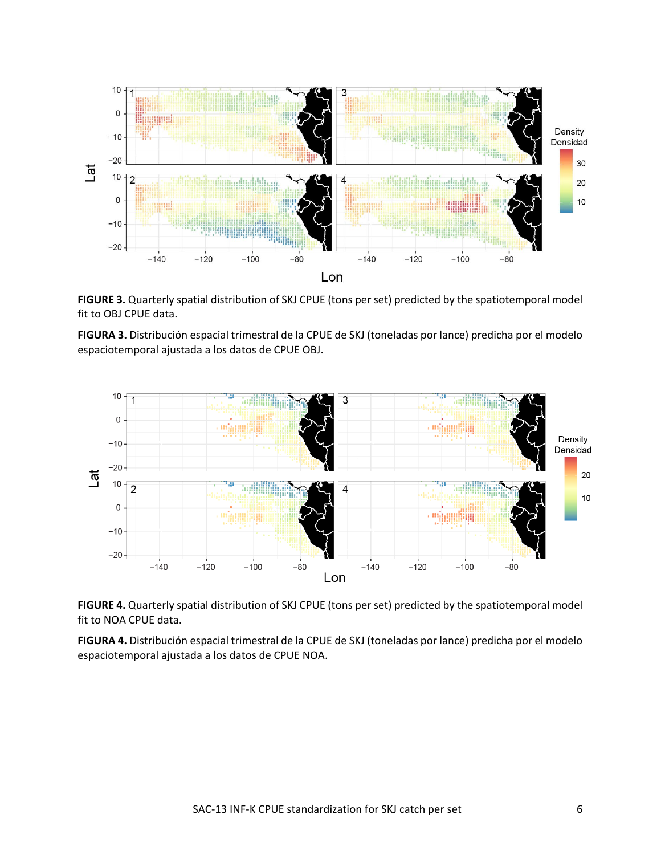

**FIGURE 3.** Quarterly spatial distribution of SKJ CPUE (tons per set) predicted by the spatiotemporal model fit to OBJ CPUE data.

**FIGURA 3.** Distribución espacial trimestral de la CPUE de SKJ (toneladas por lance) predicha por el modelo espaciotemporal ajustada a los datos de CPUE OBJ.



**FIGURE 4.** Quarterly spatial distribution of SKJ CPUE (tons per set) predicted by the spatiotemporal model fit to NOA CPUE data.

**FIGURA 4.** Distribución espacial trimestral de la CPUE de SKJ (toneladas por lance) predicha por el modelo espaciotemporal ajustada a los datos de CPUE NOA.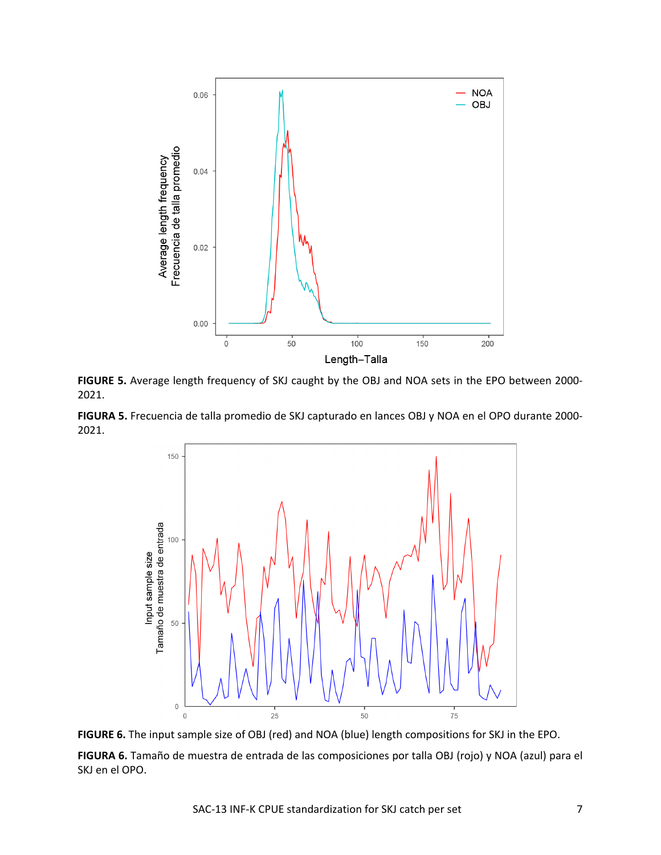

**FIGURE 5.** Average length frequency of SKJ caught by the OBJ and NOA sets in the EPO between 2000- 2021.

**FIGURA 5.** Frecuencia de talla promedio de SKJ capturado en lances OBJ y NOA en el OPO durante 2000- 2021.



**FIGURE 6.** The input sample size of OBJ (red) and NOA (blue) length compositions for SKJ in the EPO.

**FIGURA 6.** Tamaño de muestra de entrada de las composiciones por talla OBJ (rojo) y NOA (azul) para el SKJ en el OPO.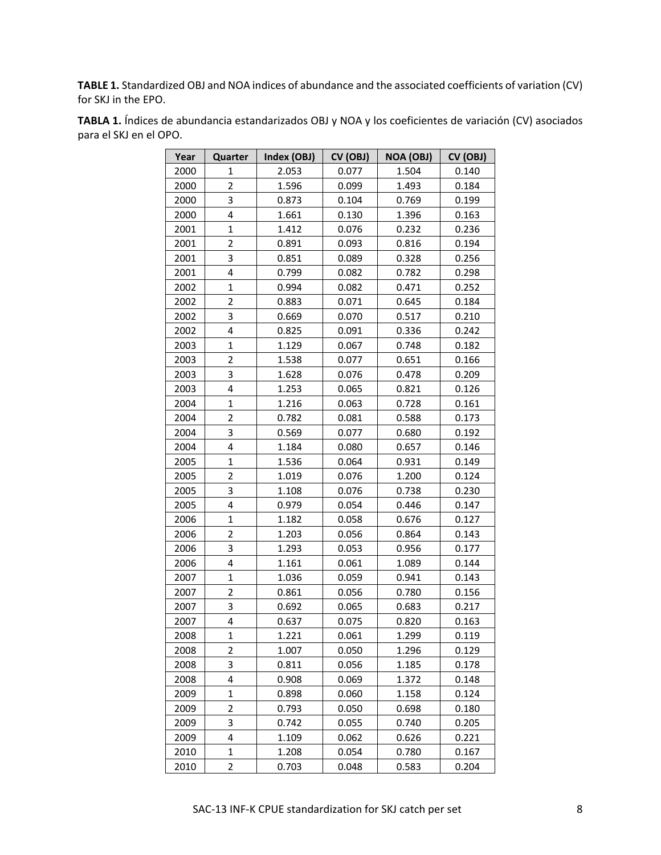**TABLE 1.** Standardized OBJ and NOA indices of abundance and the associated coefficients of variation (CV) for SKJ in the EPO.

| Year | Quarter                 | Index (OBJ) | CV (OBJ) | NOA (OBJ) | CV (OBJ) |
|------|-------------------------|-------------|----------|-----------|----------|
| 2000 | 1                       | 2.053       | 0.077    | 1.504     | 0.140    |
| 2000 | $\overline{2}$          | 1.596       | 0.099    | 1.493     | 0.184    |
| 2000 | 3                       | 0.873       | 0.104    | 0.769     | 0.199    |
| 2000 | $\overline{\mathbf{4}}$ | 1.661       | 0.130    | 1.396     | 0.163    |
| 2001 | $\mathbf{1}$            | 1.412       | 0.076    | 0.232     | 0.236    |
| 2001 | $\overline{2}$          | 0.891       | 0.093    | 0.816     | 0.194    |
| 2001 | 3                       | 0.851       | 0.089    | 0.328     | 0.256    |
| 2001 | 4                       | 0.799       | 0.082    | 0.782     | 0.298    |
| 2002 | 1                       | 0.994       | 0.082    | 0.471     | 0.252    |
| 2002 | $\overline{2}$          | 0.883       | 0.071    | 0.645     | 0.184    |
| 2002 | 3                       | 0.669       | 0.070    | 0.517     | 0.210    |
| 2002 | 4                       | 0.825       | 0.091    | 0.336     | 0.242    |
| 2003 | $\mathbf{1}$            | 1.129       | 0.067    | 0.748     | 0.182    |
| 2003 | $\overline{2}$          | 1.538       | 0.077    | 0.651     | 0.166    |
| 2003 | 3                       | 1.628       | 0.076    | 0.478     | 0.209    |
| 2003 | 4                       | 1.253       | 0.065    | 0.821     | 0.126    |
| 2004 | $\mathbf 1$             | 1.216       | 0.063    | 0.728     | 0.161    |
| 2004 | $\overline{2}$          | 0.782       | 0.081    | 0.588     | 0.173    |
| 2004 | 3                       | 0.569       | 0.077    | 0.680     | 0.192    |
| 2004 | 4                       | 1.184       | 0.080    | 0.657     | 0.146    |
| 2005 | $\mathbf{1}$            | 1.536       | 0.064    | 0.931     | 0.149    |
| 2005 | $\overline{2}$          | 1.019       | 0.076    | 1.200     | 0.124    |
| 2005 | 3                       | 1.108       | 0.076    | 0.738     | 0.230    |
| 2005 | $\overline{4}$          | 0.979       | 0.054    | 0.446     | 0.147    |
| 2006 | $\mathbf 1$             | 1.182       | 0.058    | 0.676     | 0.127    |
| 2006 | 2                       | 1.203       | 0.056    | 0.864     | 0.143    |
| 2006 | 3                       | 1.293       | 0.053    | 0.956     | 0.177    |
| 2006 | 4                       | 1.161       | 0.061    | 1.089     | 0.144    |
| 2007 | 1                       | 1.036       | 0.059    | 0.941     | 0.143    |
| 2007 | 2                       | 0.861       | 0.056    | 0.780     | 0.156    |
| 2007 | 3                       | 0.692       | 0.065    | 0.683     | 0.217    |
| 2007 | 4                       | 0.637       | 0.075    | 0.820     | 0.163    |
| 2008 | $\mathbf 1$             | 1.221       | 0.061    | 1.299     | 0.119    |
| 2008 | 2                       | 1.007       | 0.050    | 1.296     | 0.129    |
| 2008 | 3                       | 0.811       | 0.056    | 1.185     | 0.178    |
| 2008 | 4                       | 0.908       | 0.069    | 1.372     | 0.148    |
| 2009 | $\mathbf{1}$            | 0.898       | 0.060    | 1.158     | 0.124    |
| 2009 | 2                       | 0.793       | 0.050    | 0.698     | 0.180    |
| 2009 | 3                       | 0.742       | 0.055    | 0.740     | 0.205    |
| 2009 | 4                       | 1.109       | 0.062    | 0.626     | 0.221    |
| 2010 | $\mathbf{1}$            | 1.208       | 0.054    | 0.780     | 0.167    |
| 2010 | 2                       | 0.703       | 0.048    | 0.583     | 0.204    |

**TABLA 1.** Índices de abundancia estandarizados OBJ y NOA y los coeficientes de variación (CV) asociados para el SKJ en el OPO.